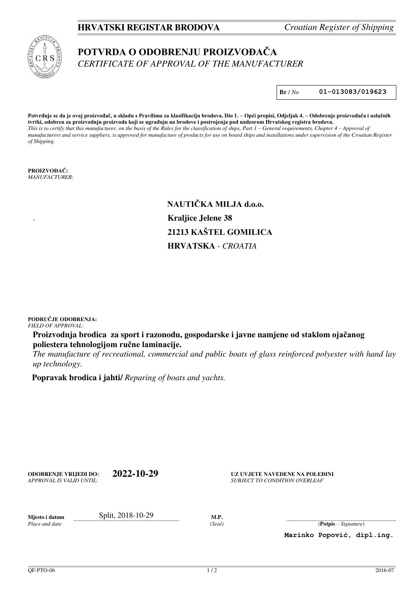## **HRVATSKI REGISTAR BRODOVA** *Croatian Register of Shipping*

## **POTVRDA O ODOBRENJU PROIZVOĐAČA** *CERTIFICATE OF APPROVAL OF THE MANUFACTURER*

**Br** / *No* **01-013083/019623**

**Potvrđuje se da je ovaj proizvođač, u skladu s Pravilima za klasifikaciju brodova, Dio 1. – Opći propisi, Odjeljak 4. – Odobrenje proizvođača i uslužnih tvrtki, odobren za proizvodnju proizvoda koji se ugrađuju na brodove i postrojenja pod nadzorom Hrvatskog registra brodova.** *This is to certify that this manufacturer, on the basis of the Rules for the classification of ships, Part 1 – General requirements, Chapter 4 – Approval of manufacturers and service suppliers, is approved for manufacture of products for use on board ships and installations under supervision of the Croatian Register of Shipping.*

**PROIZVOĐAČ:** *MANUFACTURER:* 

> **NAUTIČKA MILJA d.o.o.**  . **Kraljice Jelene 38 21213 KAŠTEL GOMILICA HRVATSKA** *- CROATIA*

**PODRUČJE ODOBRENJA:** *FIELD OF APPROVAL:* 

**Proizvodnja brodica za sport i razonodu, gospodarske i javne namjene od staklom ojačanog poliestera tehnologijom ručne laminacije.**

*The manufacture of recreational, commercial and public boats of glass reinforced polyester with hand lay up technology.* 

 **Popravak brodica i jahti/** *Reparing of boats and yachts.* 

**ODOBRENJE VRIJEDI DO: 2022-10-29**

**UZ UVJETE NAVEDENE NA POLEĐINI SUBJECT TO CONDITION OVERLEAF** 

*Place and date* 

**Miesto i datum Split, 2018-10-29 M.P.** 

*(Seal)* (**Potpis** – *Signature*)

**Marinko Popović, dipl.ing.**